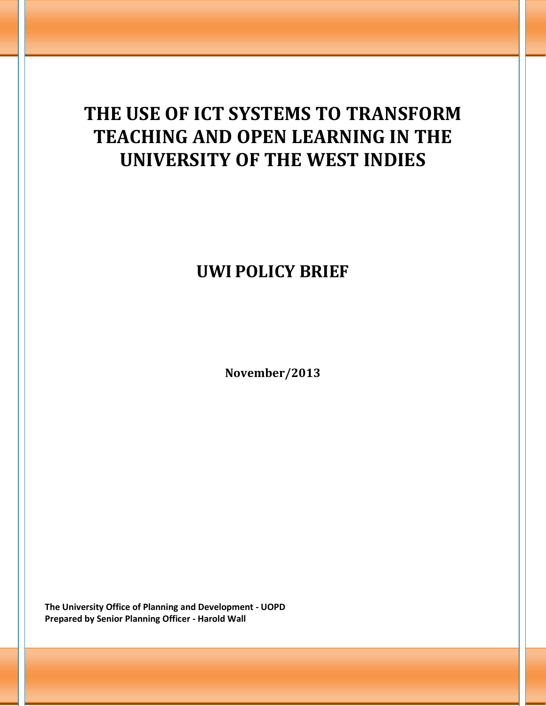# **THE USE OF ICT SYSTEMS TO TRANSFORM TEACHING AND OPEN LEARNING IN THE UNIVERSITY OF THE WEST INDIES**

# **UWI POLICY BRIEF**

**November/2013**

**The University Office of Planning and Development - UOPD Prepared by Senior Planning Officer - Harold Wall**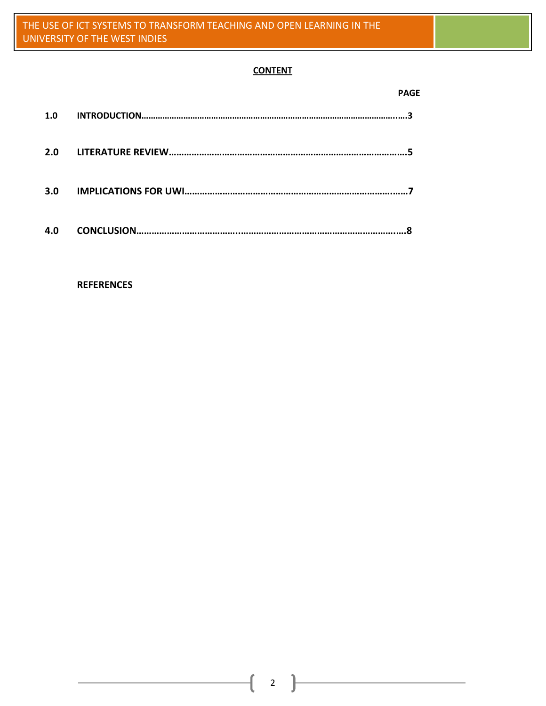# **CONTENT**

|     | <b>PAGE</b> |
|-----|-------------|
| 1.0 |             |
| 2.0 |             |
| 3.0 |             |
| 4.0 |             |

#### **REFERENCES**

2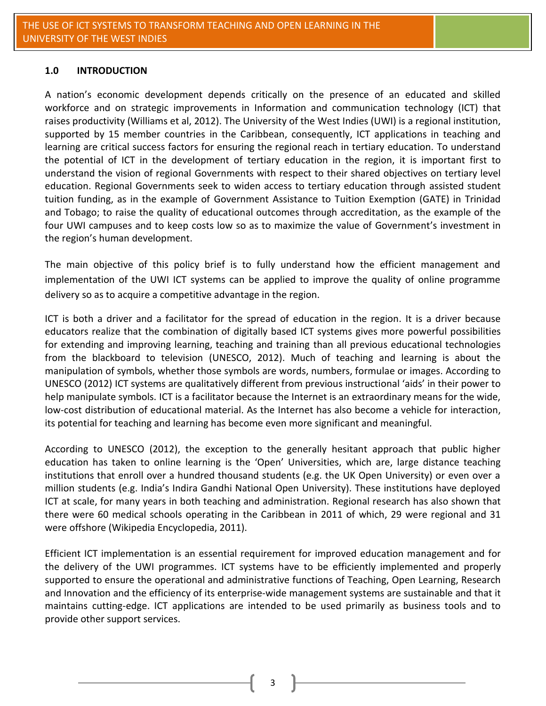#### **1.0 INTRODUCTION**

A nation's economic development depends critically on the presence of an educated and skilled workforce and on strategic improvements in Information and communication technology (ICT) that raises productivity (Williams et al, 2012). The University of the West Indies (UWI) is a regional institution, supported by 15 member countries in the Caribbean, consequently, ICT applications in teaching and learning are critical success factors for ensuring the regional reach in tertiary education. To understand the potential of ICT in the development of tertiary education in the region, it is important first to understand the vision of regional Governments with respect to their shared objectives on tertiary level education. Regional Governments seek to widen access to tertiary education through assisted student tuition funding, as in the example of Government Assistance to Tuition Exemption (GATE) in Trinidad and Tobago; to raise the quality of educational outcomes through accreditation, as the example of the four UWI campuses and to keep costs low so as to maximize the value of Government's investment in the region's human development.

The main objective of this policy brief is to fully understand how the efficient management and implementation of the UWI ICT systems can be applied to improve the quality of online programme delivery so as to acquire a competitive advantage in the region.

ICT is both a driver and a facilitator for the spread of education in the region. It is a driver because educators realize that the combination of digitally based ICT systems gives more powerful possibilities for extending and improving learning, teaching and training than all previous educational technologies from the blackboard to television (UNESCO, 2012). Much of teaching and learning is about the manipulation of symbols, whether those symbols are words, numbers, formulae or images. According to UNESCO (2012) ICT systems are qualitatively different from previous instructional 'aids' in their power to help manipulate symbols. ICT is a facilitator because the Internet is an extraordinary means for the wide, low-cost distribution of educational material. As the Internet has also become a vehicle for interaction, its potential for teaching and learning has become even more significant and meaningful.

According to UNESCO (2012), the exception to the generally hesitant approach that public higher education has taken to online learning is the 'Open' Universities, which are, large distance teaching institutions that enroll over a hundred thousand students (e.g. the UK Open University) or even over a million students (e.g. India's Indira Gandhi National Open University). These institutions have deployed ICT at scale, for many years in both teaching and administration. Regional research has also shown that there were 60 medical schools operating in the Caribbean in 2011 of which, 29 were regional and 31 were [offshore](http://en.wikipedia.org/wiki/Offshore_Medical_School_in_the_Caribbean) (Wikipedia Encyclopedia, 2011).

Efficient ICT implementation is an essential requirement for improved education management and for the delivery of the UWI programmes. ICT systems have to be efficiently implemented and properly supported to ensure the operational and administrative functions of Teaching, Open Learning, Research and Innovation and the efficiency of its enterprise-wide management systems are sustainable and that it maintains cutting-edge. ICT applications are intended to be used primarily as business tools and to provide other support services.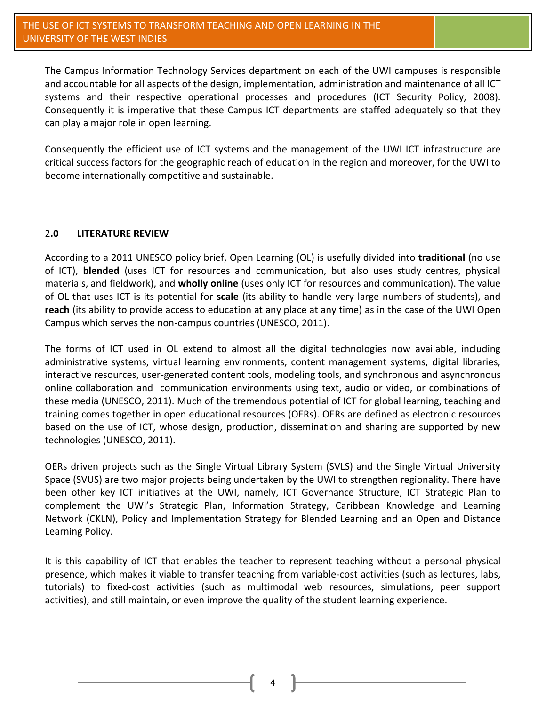The Campus Information Technology Services department on each of the UWI campuses is responsible and accountable for all aspects of the design, implementation, administration and maintenance of all ICT systems and their respective operational processes and procedures (ICT Security Policy, 2008). Consequently it is imperative that these Campus ICT departments are staffed adequately so that they can play a major role in open learning.

Consequently the efficient use of ICT systems and the management of the UWI ICT infrastructure are critical success factors for the geographic reach of education in the region and moreover, for the UWI to become internationally competitive and sustainable.

## 2**.0 LITERATURE REVIEW**

According to a 2011 UNESCO policy brief, Open Learning (OL) is usefully divided into **traditional** (no use of ICT), **blended** (uses ICT for resources and communication, but also uses study centres, physical materials, and fieldwork), and **wholly online** (uses only ICT for resources and communication). The value of OL that uses ICT is its potential for **scale** (its ability to handle very large numbers of students), and **reach** (its ability to provide access to education at any place at any time) as in the case of the UWI Open Campus which serves the non-campus countries (UNESCO, 2011).

The forms of ICT used in OL extend to almost all the digital technologies now available, including administrative systems, virtual learning environments, content management systems, digital libraries, interactive resources, user-generated content tools, modeling tools, and synchronous and asynchronous online collaboration and communication environments using text, audio or video, or combinations of these media (UNESCO, 2011). Much of the tremendous potential of ICT for global learning, teaching and training comes together in open educational resources (OERs). OERs are defined as electronic resources based on the use of ICT, whose design, production, dissemination and sharing are supported by new technologies (UNESCO, 2011).

OERs driven projects such as the Single Virtual Library System (SVLS) and the Single Virtual University Space (SVUS) are two major projects being undertaken by the UWI to strengthen regionality. There have been other key ICT initiatives at the UWI, namely, ICT Governance Structure, ICT Strategic Plan to complement the UWI's Strategic Plan, Information Strategy, Caribbean Knowledge and Learning Network (CKLN), Policy and Implementation Strategy for Blended Learning and an Open and Distance Learning Policy.

It is this capability of ICT that enables the teacher to represent teaching without a personal physical presence, which makes it viable to transfer teaching from variable-cost activities (such as lectures, labs, tutorials) to fixed-cost activities (such as multimodal web resources, simulations, peer support activities), and still maintain, or even improve the quality of the student learning experience.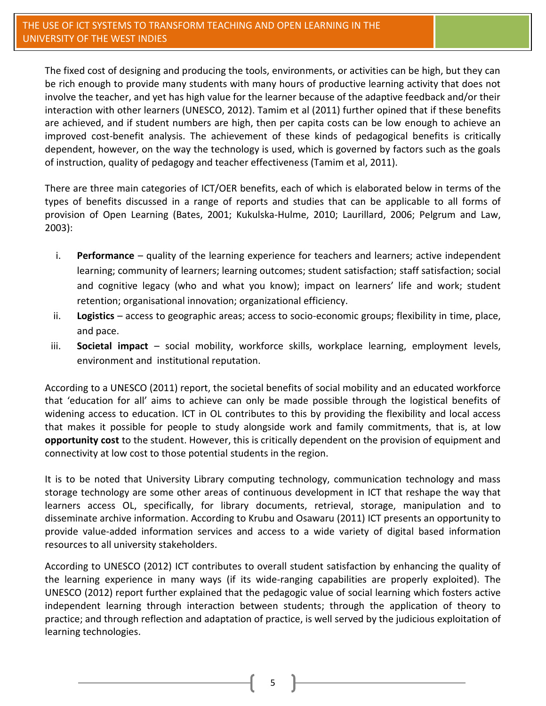The fixed cost of designing and producing the tools, environments, or activities can be high, but they can be rich enough to provide many students with many hours of productive learning activity that does not involve the teacher, and yet has high value for the learner because of the adaptive feedback and/or their interaction with other learners (UNESCO, 2012). Tamim et al (2011) further opined that if these benefits are achieved, and if student numbers are high, then per capita costs can be low enough to achieve an improved cost-benefit analysis. The achievement of these kinds of pedagogical benefits is critically dependent, however, on the way the technology is used, which is governed by factors such as the goals of instruction, quality of pedagogy and teacher effectiveness (Tamim et al, 2011).

There are three main categories of ICT/OER benefits, each of which is elaborated below in terms of the types of benefits discussed in a range of reports and studies that can be applicable to all forms of provision of Open Learning (Bates, 2001; Kukulska-Hulme, 2010; Laurillard, 2006; Pelgrum and Law, 2003):

- i. **Performance**  quality of the learning experience for teachers and learners; active independent learning; community of learners; learning outcomes; student satisfaction; staff satisfaction; social and cognitive legacy (who and what you know); impact on learners' life and work; student retention; organisational innovation; organizational efficiency.
- ii. **Logistics**  access to geographic areas; access to socio-economic groups; flexibility in time, place, and pace.
- iii. **Societal impact**  social mobility, workforce skills, workplace learning, employment levels, environment and institutional reputation.

According to a UNESCO (2011) report, the societal benefits of social mobility and an educated workforce that 'education for all' aims to achieve can only be made possible through the logistical benefits of widening access to education. ICT in OL contributes to this by providing the flexibility and local access that makes it possible for people to study alongside work and family commitments, that is, at low **opportunity cost** to the student. However, this is critically dependent on the provision of equipment and connectivity at low cost to those potential students in the region.

It is to be noted that University Library computing technology, communication technology and mass storage technology are some other areas of continuous development in ICT that reshape the way that learners access OL, specifically, for library documents, retrieval, storage, manipulation and to disseminate archive information. According to Krubu and Osawaru (2011) ICT presents an opportunity to provide value-added information services and access to a wide variety of digital based information resources to all university stakeholders.

According to UNESCO (2012) ICT contributes to overall student satisfaction by enhancing the quality of the learning experience in many ways (if its wide-ranging capabilities are properly exploited). The UNESCO (2012) report further explained that the pedagogic value of social learning which fosters active independent learning through interaction between students; through the application of theory to practice; and through reflection and adaptation of practice, is well served by the judicious exploitation of learning technologies.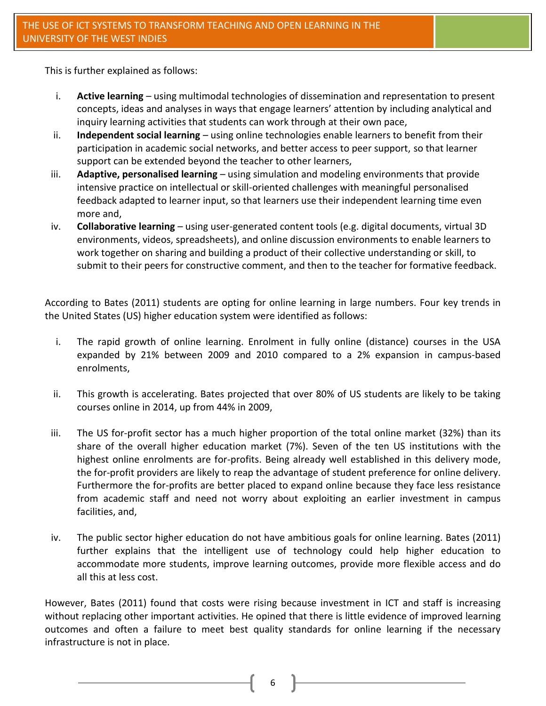This is further explained as follows:

- i. **Active learning**  using multimodal technologies of dissemination and representation to present concepts, ideas and analyses in ways that engage learners' attention by including analytical and inquiry learning activities that students can work through at their own pace,
- ii. **Independent social learning**  using online technologies enable learners to benefit from their participation in academic social networks, and better access to peer support, so that learner support can be extended beyond the teacher to other learners,
- iii. **Adaptive, personalised learning**  using simulation and modeling environments that provide intensive practice on intellectual or skill-oriented challenges with meaningful personalised feedback adapted to learner input, so that learners use their independent learning time even more and,
- iv. **Collaborative learning**  using user-generated content tools (e.g. digital documents, virtual 3D environments, videos, spreadsheets), and online discussion environments to enable learners to work together on sharing and building a product of their collective understanding or skill, to submit to their peers for constructive comment, and then to the teacher for formative feedback.

According to Bates (2011) students are opting for online learning in large numbers. Four key trends in the United States (US) higher education system were identified as follows:

- i. The rapid growth of online learning. Enrolment in fully online (distance) courses in the USA expanded by 21% between 2009 and 2010 compared to a 2% expansion in campus-based enrolments,
- ii. This growth is accelerating. Bates projected that over 80% of US students are likely to be taking courses online in 2014, up from 44% in 2009,
- iii. The US for-profit sector has a much higher proportion of the total online market (32%) than its share of the overall higher education market (7%). Seven of the ten US institutions with the highest online enrolments are for-profits. Being already well established in this delivery mode, the for-profit providers are likely to reap the advantage of student preference for online delivery. Furthermore the for-profits are better placed to expand online because they face less resistance from academic staff and need not worry about exploiting an earlier investment in campus facilities, and,
- iv. The public sector higher education do not have ambitious goals for online learning. Bates (2011) further explains that the intelligent use of technology could help higher education to accommodate more students, improve learning outcomes, provide more flexible access and do all this at less cost.

However, Bates (2011) found that costs were rising because investment in ICT and staff is increasing without replacing other important activities. He opined that there is little evidence of improved learning outcomes and often a failure to meet best quality standards for online learning if the necessary infrastructure is not in place.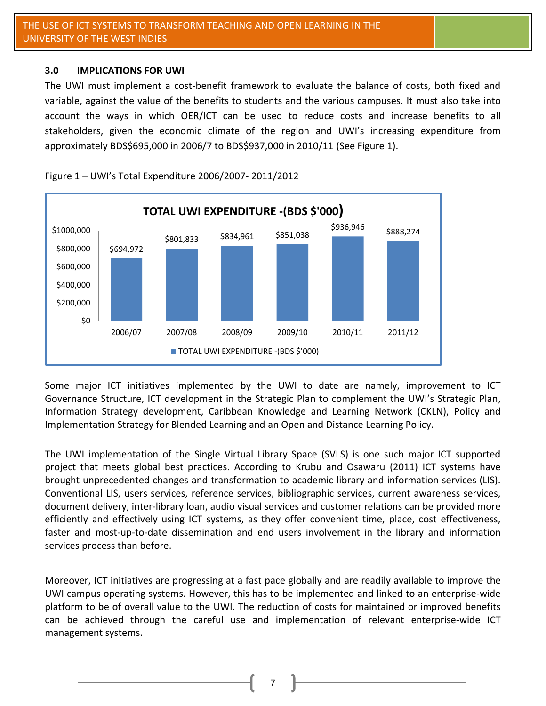## **3.0 IMPLICATIONS FOR UWI**

The UWI must implement a cost-benefit framework to evaluate the balance of costs, both fixed and variable, against the value of the benefits to students and the various campuses. It must also take into account the ways in which OER/ICT can be used to reduce costs and increase benefits to all stakeholders, given the economic climate of the region and UWI's increasing expenditure from approximately BDS\$695,000 in 2006/7 to BDS\$937,000 in 2010/11 (See Figure 1).



Figure 1 – UWI's Total Expenditure 2006/2007- 2011/2012

Some major ICT initiatives implemented by the UWI to date are namely, improvement to ICT Governance Structure, ICT development in the Strategic Plan to complement the UWI's Strategic Plan, Information Strategy development, Caribbean Knowledge and Learning Network (CKLN), Policy and Implementation Strategy for Blended Learning and an Open and Distance Learning Policy.

The UWI implementation of the Single Virtual Library Space (SVLS) is one such major ICT supported project that meets global best practices. According to Krubu and Osawaru (2011) ICT systems have brought unprecedented changes and transformation to academic library and information services (LIS). Conventional LIS, users services, reference services, bibliographic services, current awareness services, document delivery, inter-library loan, audio visual services and customer relations can be provided more efficiently and effectively using ICT systems, as they offer convenient time, place, cost effectiveness, faster and most-up-to-date dissemination and end users involvement in the library and information services process than before.

Moreover, ICT initiatives are progressing at a fast pace globally and are readily available to improve the UWI campus operating systems. However, this has to be implemented and linked to an enterprise-wide platform to be of overall value to the UWI. The reduction of costs for maintained or improved benefits can be achieved through the careful use and implementation of relevant enterprise-wide ICT management systems.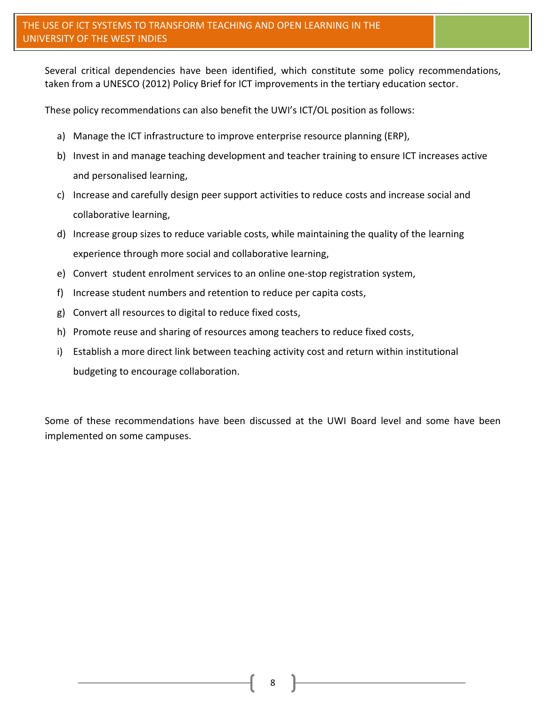Several critical dependencies have been identified, which constitute some policy recommendations, taken from a UNESCO (2012) Policy Brief for ICT improvements in the tertiary education sector.

These policy recommendations can also benefit the UWI's ICT/OL position as follows:

- a) Manage the ICT infrastructure to improve enterprise resource planning (ERP),
- b) Invest in and manage teaching development and teacher training to ensure ICT increases active and personalised learning,
- c) Increase and carefully design peer support activities to reduce costs and increase social and collaborative learning,
- d) Increase group sizes to reduce variable costs, while maintaining the quality of the learning experience through more social and collaborative learning,
- e) Convert student enrolment services to an online one-stop registration system,
- f) Increase student numbers and retention to reduce per capita costs,
- g) Convert all resources to digital to reduce fixed costs,
- h) Promote reuse and sharing of resources among teachers to reduce fixed costs,
- i) Establish a more direct link between teaching activity cost and return within institutional budgeting to encourage collaboration.

Some of these recommendations have been discussed at the UWI Board level and some have been implemented on some campuses.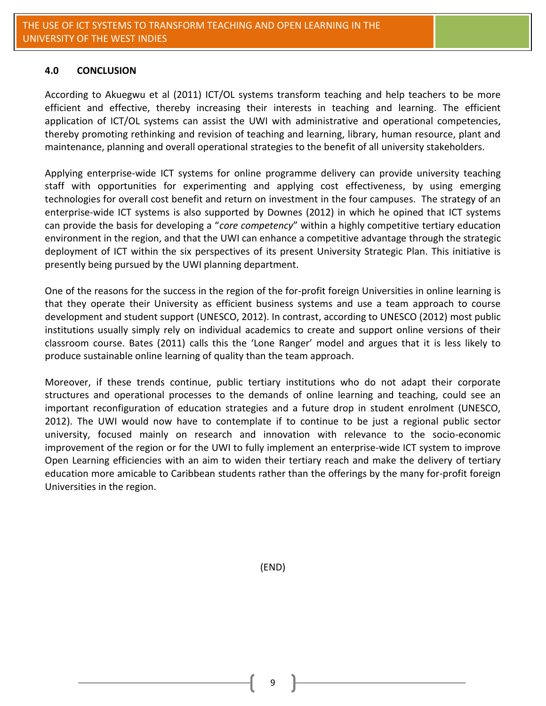#### **4.0 CONCLUSION**

According to Akuegwu et al (2011) ICT/OL systems transform teaching and help teachers to be more efficient and effective, thereby increasing their interests in teaching and learning. The efficient application of ICT/OL systems can assist the UWI with administrative and operational competencies, thereby promoting rethinking and revision of teaching and learning, library, human resource, plant and maintenance, planning and overall operational strategies to the benefit of all university stakeholders.

Applying enterprise-wide ICT systems for online programme delivery can provide university teaching staff with opportunities for experimenting and applying cost effectiveness, by using emerging technologies for overall cost benefit and return on investment in the four campuses. The strategy of an enterprise-wide ICT systems is also supported by Downes (2012) in which he opined that ICT systems can provide the basis for developing a "*core competency*" within a highly competitive tertiary education environment in the region, and that the UWI can enhance a competitive advantage through the strategic deployment of ICT within the six perspectives of its present University Strategic Plan. This initiative is presently being pursued by the UWI planning department.

One of the reasons for the success in the region of the for-profit foreign Universities in online learning is that they operate their University as efficient business systems and use a team approach to course development and student support (UNESCO, 2012). In contrast, according to UNESCO (2012) most public institutions usually simply rely on individual academics to create and support online versions of their classroom course. Bates (2011) calls this the 'Lone Ranger' model and argues that it is less likely to produce sustainable online learning of quality than the team approach.

Moreover, if these trends continue, public tertiary institutions who do not adapt their corporate structures and operational processes to the demands of online learning and teaching, could see an important reconfiguration of education strategies and a future drop in student enrolment (UNESCO, 2012). The UWI would now have to contemplate if to continue to be just a regional public sector university, focused mainly on research and innovation with relevance to the socio-economic improvement of the region or for the UWI to fully implement an enterprise-wide ICT system to improve Open Learning efficiencies with an aim to widen their tertiary reach and make the delivery of tertiary education more amicable to Caribbean students rather than the offerings by the many for-profit foreign Universities in the region.

(END)